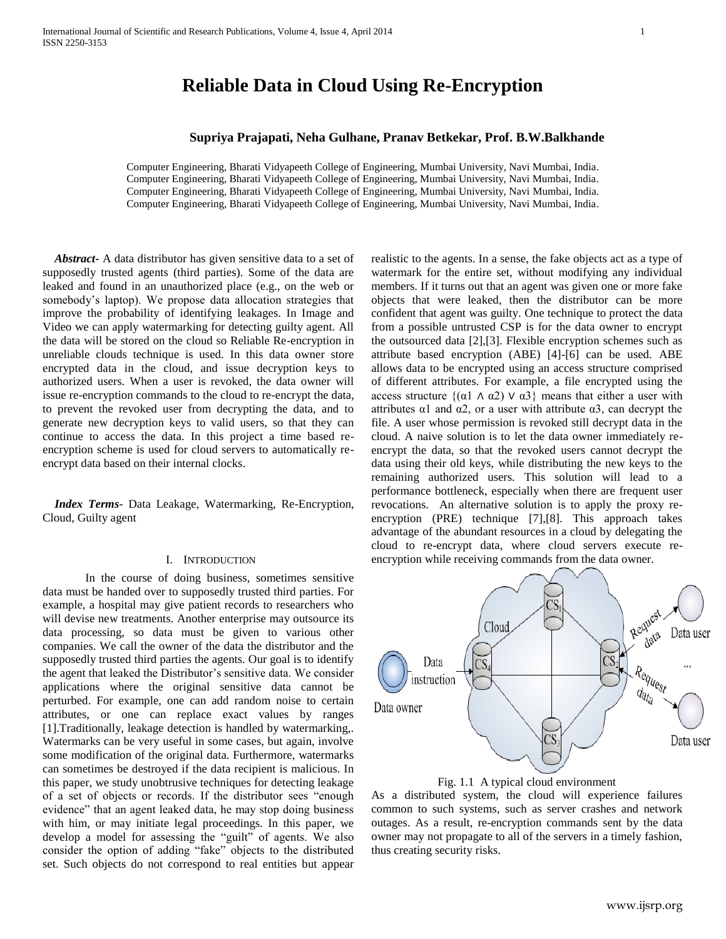## **Supriya Prajapati, Neha Gulhane, Pranav Betkekar, Prof. B.W.Balkhande**

Computer Engineering, Bharati Vidyapeeth College of Engineering, Mumbai University, Navi Mumbai, India. Computer Engineering, Bharati Vidyapeeth College of Engineering, Mumbai University, Navi Mumbai, India. Computer Engineering, Bharati Vidyapeeth College of Engineering, Mumbai University, Navi Mumbai, India. Computer Engineering, Bharati Vidyapeeth College of Engineering, Mumbai University, Navi Mumbai, India.

 *Abstract***-** A data distributor has given sensitive data to a set of supposedly trusted agents (third parties). Some of the data are leaked and found in an unauthorized place (e.g., on the web or somebody's laptop). We propose data allocation strategies that improve the probability of identifying leakages. In Image and Video we can apply watermarking for detecting guilty agent. All the data will be stored on the cloud so Reliable Re-encryption in unreliable clouds technique is used. In this data owner store encrypted data in the cloud, and issue decryption keys to authorized users. When a user is revoked, the data owner will issue re-encryption commands to the cloud to re-encrypt the data, to prevent the revoked user from decrypting the data, and to generate new decryption keys to valid users, so that they can continue to access the data. In this project a time based reencryption scheme is used for cloud servers to automatically reencrypt data based on their internal clocks.

 *Index Terms*- Data Leakage, Watermarking, Re-Encryption, Cloud, Guilty agent

#### I. INTRODUCTION

In the course of doing business, sometimes sensitive data must be handed over to supposedly trusted third parties. For example, a hospital may give patient records to researchers who will devise new treatments. Another enterprise may outsource its data processing, so data must be given to various other companies. We call the owner of the data the distributor and the supposedly trusted third parties the agents. Our goal is to identify the agent that leaked the Distributor's sensitive data. We consider applications where the original sensitive data cannot be perturbed. For example, one can add random noise to certain attributes, or one can replace exact values by ranges [1].Traditionally, leakage detection is handled by watermarking,. Watermarks can be very useful in some cases, but again, involve some modification of the original data. Furthermore, watermarks can sometimes be destroyed if the data recipient is malicious. In this paper, we study unobtrusive techniques for detecting leakage of a set of objects or records. If the distributor sees "enough evidence" that an agent leaked data, he may stop doing business with him, or may initiate legal proceedings. In this paper, we develop a model for assessing the "guilt" of agents. We also consider the option of adding "fake" objects to the distributed set. Such objects do not correspond to real entities but appear

realistic to the agents. In a sense, the fake objects act as a type of watermark for the entire set, without modifying any individual members. If it turns out that an agent was given one or more fake objects that were leaked, then the distributor can be more confident that agent was guilty. One technique to protect the data from a possible untrusted CSP is for the data owner to encrypt the outsourced data [2],[3]. Flexible encryption schemes such as attribute based encryption (ABE) [4]-[6] can be used. ABE allows data to be encrypted using an access structure comprised of different attributes. For example, a file encrypted using the access structure  $\{(\alpha 1 \land \alpha 2) \lor \alpha 3\}$  means that either a user with attributes  $\alpha$ 1 and  $\alpha$ 2, or a user with attribute  $\alpha$ 3, can decrypt the file. A user whose permission is revoked still decrypt data in the cloud. A naive solution is to let the data owner immediately reencrypt the data, so that the revoked users cannot decrypt the data using their old keys, while distributing the new keys to the remaining authorized users. This solution will lead to a performance bottleneck, especially when there are frequent user revocations. An alternative solution is to apply the proxy reencryption (PRE) technique [7],[8]. This approach takes advantage of the abundant resources in a cloud by delegating the cloud to re-encrypt data, where cloud servers execute reencryption while receiving commands from the data owner.





As a distributed system, the cloud will experience failures common to such systems, such as server crashes and network outages. As a result, re-encryption commands sent by the data owner may not propagate to all of the servers in a timely fashion, thus creating security risks.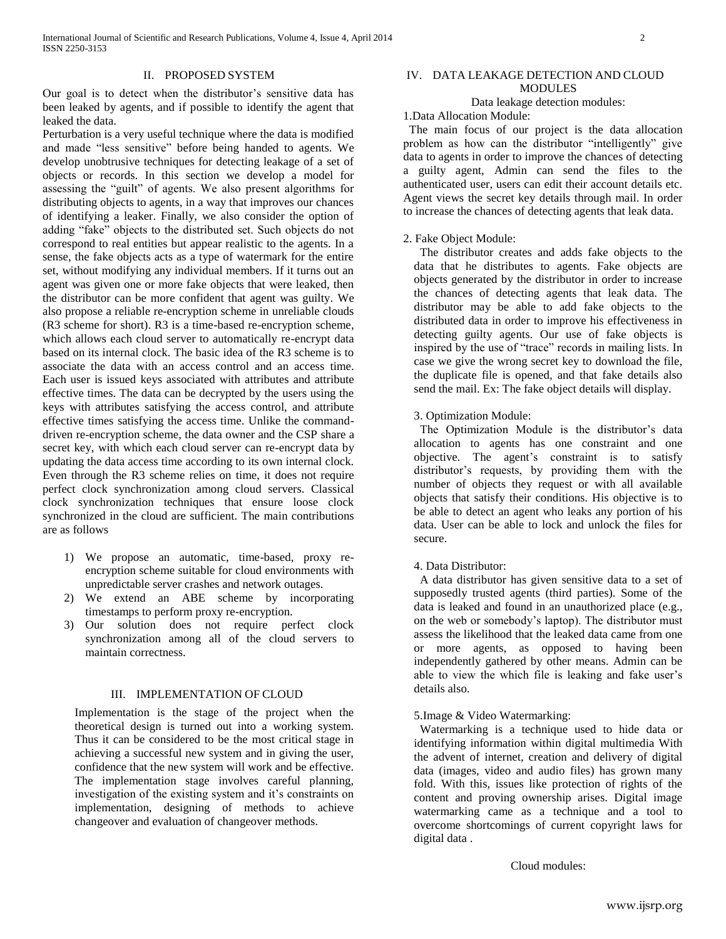Our goal is to detect when the distributor's sensitive data has been leaked by agents, and if possible to identify the agent that leaked the data.

Perturbation is a very useful technique where the data is modified and made "less sensitive" before being handed to agents. We develop unobtrusive techniques for detecting leakage of a set of objects or records. In this section we develop a model for assessing the "guilt" of agents. We also present algorithms for distributing objects to agents, in a way that improves our chances of identifying a leaker. Finally, we also consider the option of adding "fake" objects to the distributed set. Such objects do not correspond to real entities but appear realistic to the agents. In a sense, the fake objects acts as a type of watermark for the entire set, without modifying any individual members. If it turns out an agent was given one or more fake objects that were leaked, then the distributor can be more confident that agent was guilty. We also propose a reliable re-encryption scheme in unreliable clouds (R3 scheme for short). R3 is a time-based re-encryption scheme, which allows each cloud server to automatically re-encrypt data based on its internal clock. The basic idea of the R3 scheme is to associate the data with an access control and an access time. Each user is issued keys associated with attributes and attribute effective times. The data can be decrypted by the users using the keys with attributes satisfying the access control, and attribute effective times satisfying the access time. Unlike the commanddriven re-encryption scheme, the data owner and the CSP share a secret key, with which each cloud server can re-encrypt data by updating the data access time according to its own internal clock. Even through the R3 scheme relies on time, it does not require perfect clock synchronization among cloud servers. Classical clock synchronization techniques that ensure loose clock synchronized in the cloud are sufficient. The main contributions are as follows

- 1) We propose an automatic, time-based, proxy reencryption scheme suitable for cloud environments with unpredictable server crashes and network outages.
- 2) We extend an ABE scheme by incorporating timestamps to perform proxy re-encryption.
- 3) Our solution does not require perfect clock synchronization among all of the cloud servers to maintain correctness.

## III. IMPLEMENTATION OF CLOUD

Implementation is the stage of the project when the theoretical design is turned out into a working system. Thus it can be considered to be the most critical stage in achieving a successful new system and in giving the user, confidence that the new system will work and be effective. The implementation stage involves careful planning, investigation of the existing system and it's constraints on implementation, designing of methods to achieve changeover and evaluation of changeover methods.

# IV. DATA LEAKAGE DETECTION AND CLOUD **MODULES**

## Data leakage detection modules:

1.Data Allocation Module:

 The main focus of our project is the data allocation problem as how can the distributor "intelligently" give data to agents in order to improve the chances of detecting a guilty agent, Admin can send the files to the authenticated user, users can edit their account details etc. Agent views the secret key details through mail. In order to increase the chances of detecting agents that leak data.

### 2. Fake Object Module:

 The distributor creates and adds fake objects to the data that he distributes to agents. Fake objects are objects generated by the distributor in order to increase the chances of detecting agents that leak data. The distributor may be able to add fake objects to the distributed data in order to improve his effectiveness in detecting guilty agents. Our use of fake objects is inspired by the use of "trace" records in mailing lists. In case we give the wrong secret key to download the file, the duplicate file is opened, and that fake details also send the mail. Ex: The fake object details will display.

#### 3. Optimization Module:

 The Optimization Module is the distributor's data allocation to agents has one constraint and one objective. The agent's constraint is to satisfy distributor's requests, by providing them with the number of objects they request or with all available objects that satisfy their conditions. His objective is to be able to detect an agent who leaks any portion of his data. User can be able to lock and unlock the files for secure.

#### 4. Data Distributor:

 A data distributor has given sensitive data to a set of supposedly trusted agents (third parties). Some of the data is leaked and found in an unauthorized place (e.g., on the web or somebody's laptop). The distributor must assess the likelihood that the leaked data came from one or more agents, as opposed to having been independently gathered by other means. Admin can be able to view the which file is leaking and fake user's details also.

## 5.Image & Video Watermarking:

 Watermarking is a technique used to hide data or identifying information within digital multimedia With the advent of internet, creation and delivery of digital data (images, video and audio files) has grown many fold. With this, issues like protection of rights of the content and proving ownership arises. Digital image watermarking came as a technique and a tool to overcome shortcomings of current copyright laws for digital data .

Cloud modules: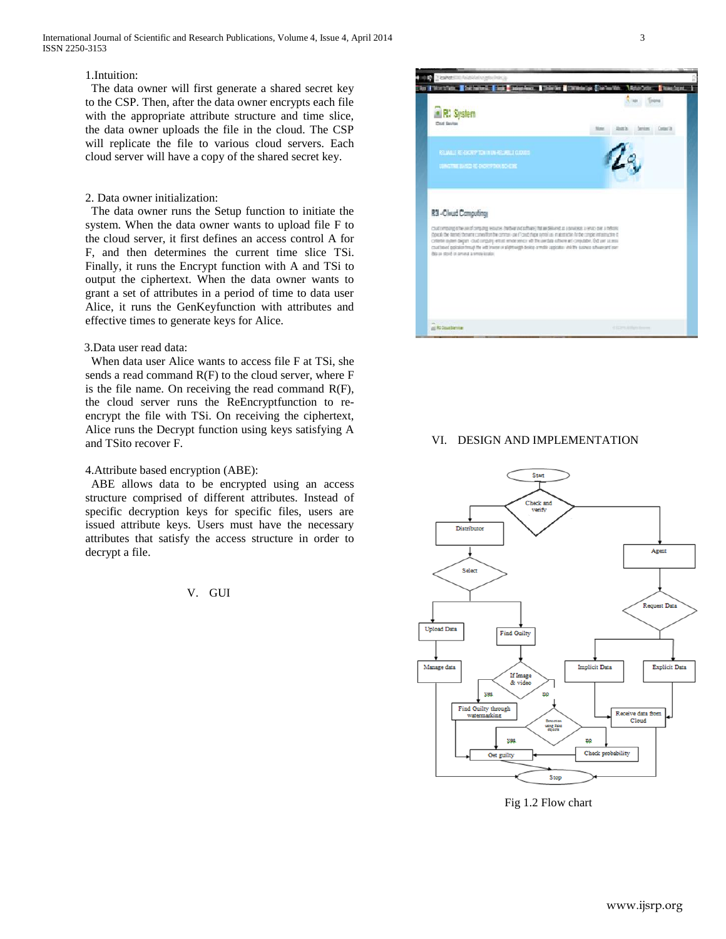## 1.Intuition:

 The data owner will first generate a shared secret key to the CSP. Then, after the data owner encrypts each file with the appropriate attribute structure and time slice, the data owner uploads the file in the cloud. The CSP will replicate the file to various cloud servers. Each cloud server will have a copy of the shared secret key.

## 2. Data owner initialization:

 The data owner runs the Setup function to initiate the system. When the data owner wants to upload file F to the cloud server, it first defines an access control A for F, and then determines the current time slice TSi. Finally, it runs the Encrypt function with A and TSi to output the ciphertext. When the data owner wants to grant a set of attributes in a period of time to data user Alice, it runs the GenKeyfunction with attributes and effective times to generate keys for Alice.

#### 3.Data user read data:

 When data user Alice wants to access file F at TSi, she sends a read command R(F) to the cloud server, where F is the file name. On receiving the read command  $R(F)$ , the cloud server runs the ReEncryptfunction to reencrypt the file with TSi. On receiving the ciphertext, Alice runs the Decrypt function using keys satisfying A and TSito recover F.

## 4.Attribute based encryption (ABE):

 ABE allows data to be encrypted using an access structure comprised of different attributes. Instead of specific decryption keys for specific files, users are issued attribute keys. Users must have the necessary attributes that satisfy the access structure in order to decrypt a file.

V. GUI



# VI. DESIGN AND IMPLEMENTATION



Fig 1.2 Flow chart